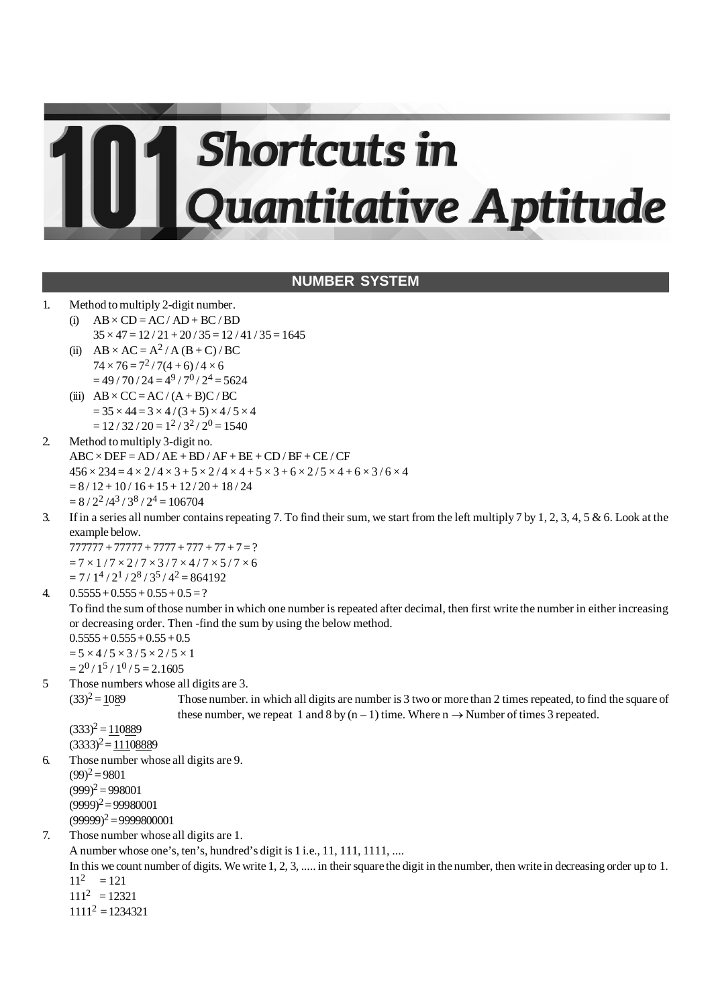# **Shortcuts in** Quantitative Aptitude

# **NUMBER SYSTEM**

- 1. Method to multiply 2-digit number.
	- (i)  $AB \times CD = AC / AD + BC / BD$  $35 \times 47 = 12 / 21 + 20 / 35 = 12 / 41 / 35 = 1645$
	- (ii)  $AB \times AC = A^2 / A (B + C) / BC$  $74 \times 76 = 7^2 / 7(4+6) / 4 \times 6$  $= 49/70/24 = 4<sup>9</sup>/7<sup>0</sup>/2<sup>4</sup> = 5624$
	- (iii)  $AB \times CC = AC / (A + B)C / BC$  $= 35 \times 44 = 3 \times 4 / (3 + 5) \times 4 / 5 \times 4$  $= 12 / 32 / 20 = 1^2 / 3^2 / 2^0 = 1540$
- 2. Method to multiply 3-digit no.  $ABC \times DEF = AD / AE + BD / AF + BE + CD / BF + CE / CF$  $456 \times 234 = 4 \times 2 / 4 \times 3 + 5 \times 2 / 4 \times 4 + 5 \times 3 + 6 \times 2 / 5 \times 4 + 6 \times 3 / 6 \times 4$  $= 8 / 12 + 10 / 16 + 15 + 12 / 20 + 18 / 24$  $= 8 / 2^2 / 4^3 / 3^8 / 2^4 = 106704$
- 3. If in a series all number contains repeating 7. To find their sum, we start from the left multiply 7 by 1, 2, 3, 4, 5 & 6. Look at the example below.

 $777777 + 77777 + 7777 + 777 + 77 + 7 = ?$  $= 7 \times 1 / 7 \times 2 / 7 \times 3 / 7 \times 4 / 7 \times 5 / 7 \times 6$  $= 7 / 1<sup>4</sup> / 2<sup>1</sup> / 2<sup>8</sup> / 3<sup>5</sup> / 4<sup>2</sup> = 864192$ 

4.  $0.5555 + 0.555 + 0.55 + 0.5 = ?$ 

To find the sum of those number in which one number is repeated after decimal, then first write the number in either increasing or decreasing order. Then -find the sum by using the below method.

 $0.5555 + 0.555 + 0.55 + 0.5$  $= 5 \times 4 / 5 \times 3 / 5 \times 2 / 5 \times 1$  $= 2^{0}$  / 1<sup>5</sup> / 1<sup>0</sup> / 5 = 2.1605

5 Those numbers whose all digits are 3.  $(33)^2 = 1089$ 

Those number. in which all digits are number is 3 two or more than 2 times repeated, to find the square of these number, we repeat 1 and 8 by  $(n-1)$  time. Where  $n \rightarrow$  Number of times 3 repeated.

 $(333)^2 = 110889$  $(3333)^2 = 11108889$ 

6. Those number whose all digits are 9.

 $(99)^2 = 9801$  $(999)^2 = 998001$  $(9999)^2 = 99980001$  $(99999)^2 = 9999800001$ 

7. Those number whose all digits are 1.

A number whose one's, ten's, hundred's digit is 1 i.e., 11, 111, 1111, ....

In this we count number of digits. We write 1, 2, 3, ..... in their square the digit in the number, then write in decreasing order up to 1.  $11^2 = 121$ 

 $111<sup>2</sup> = 12321$ 

 $1111<sup>2</sup> = 1234321$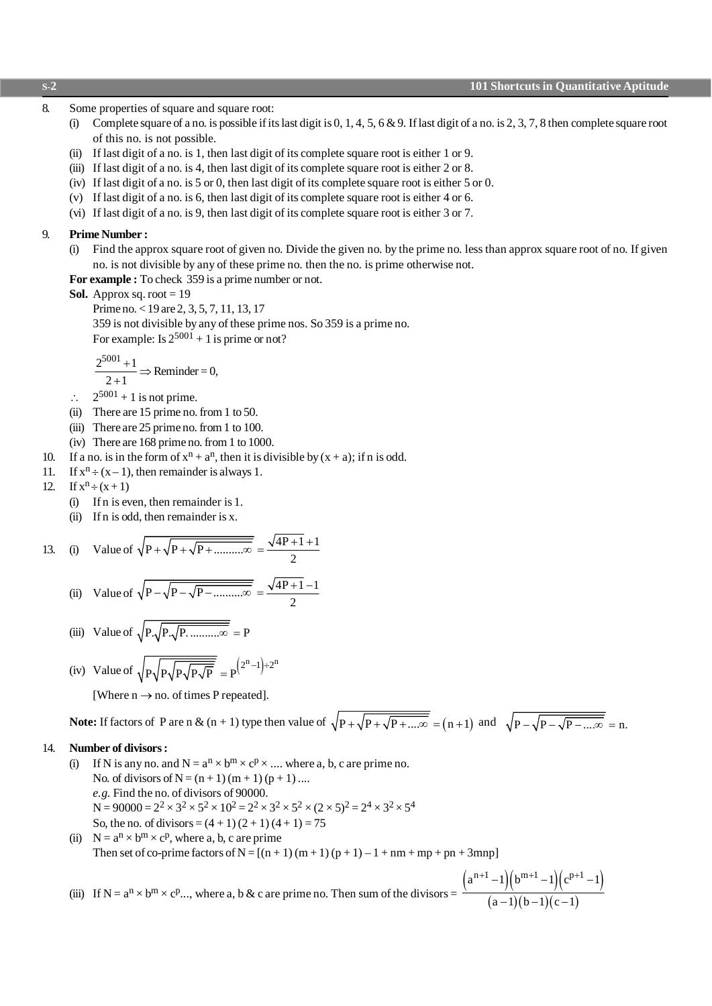- 8. Some properties of square and square root:
	- (i) Complete square of a no. is possible if its last digit is  $0, 1, 4, 5, 6$  & 9. If last digit of a no. is  $2, 3, 7, 8$  then complete square root of this no. is not possible.
	- (ii) If last digit of a no. is 1, then last digit of its complete square root is either 1 or 9.
	- (iii) If last digit of a no. is 4, then last digit of its complete square root is either 2 or 8.
	- (iv) If last digit of a no. is 5 or 0, then last digit of its complete square root is either 5 or 0.
	- (v) If last digit of a no. is 6, then last digit of its complete square root is either 4 or 6.
	- (vi) If last digit of a no. is 9, then last digit of its complete square root is either 3 or 7.

#### 9. **Prime Number :**

(i) Find the approx square root of given no. Divide the given no. by the prime no. less than approx square root of no. If given no. is not divisible by any of these prime no. then the no. is prime otherwise not.

**For example :** To check 359 is a prime number or not.

**Sol.** Approx sq. root  $= 19$ 

Prime no. < 19 are 2, 3, 5, 7, 11, 13, 17 359 is not divisible by any of these prime nos. So 359 is a prime no. For example: Is  $2^{5001} + 1$  is prime or not?

$$
\frac{2^{5001}+1}{2+1} \Rightarrow \text{Reminder} = 0,
$$

- $\therefore$  2<sup>5001</sup> + 1 is not prime.
- (ii) There are 15 prime no. from 1 to 50.
- (iii) There are 25 prime no. from 1 to 100.
- (iv) There are 168 prime no. from 1 to 1000.
- 10. If a no. is in the form of  $x^n + a^n$ , then it is divisible by  $(x + a)$ ; if n is odd.
- 11. If  $x^n \div (x-1)$ , then remainder is always 1.
- 12. If  $x^n \div (x+1)$ 
	- (i) If n is even, then remainder is 1.
	- (ii) If n is odd, then remainder is x.

13. (i) Value of 
$$
\sqrt{P + \sqrt{P + \sqrt{P + \dots 2P}}}} = \frac{\sqrt{4P + 1 + 1}}{2}
$$

(ii) Value of 
$$
\sqrt{P - \sqrt{P - \sqrt{P - \dots 2}}}
$$
 =  $\frac{\sqrt{4P + 1} - 1}{2}$ 

(iii) Value of 
$$
\sqrt{P.\sqrt{P.\sqrt{P.\dots \dots \dots \infty}}}=P
$$

(iv) Value of 
$$
\sqrt{P\sqrt{P\sqrt{P\sqrt{P}}}} = P^{(2^n-1)+2^n}
$$

[Where  $n \rightarrow no$ . of times P repeated].

**Note:** If factors of P are n &  $(n + 1)$  type then value of  $\sqrt{P + \sqrt{P + ... \infty}} = (n + 1)$  and  $\sqrt{P - \sqrt{P - ... \infty}} = n$ .

#### 14. **Number of divisors :**

- (i) If N is any no. and  $N = a^n \times b^m \times c^p \times ...$  where a, b, c are prime no. No. of divisors of  $N = (n + 1) (m + 1) (p + 1) ...$ *e.g.* Find the no. of divisors of 90000.  $N = 90000 = 2^2 \times 3^2 \times 5^2 \times 10^2 = 2^2 \times 3^2 \times 5^2 \times (2 \times 5)^2 = 2^4 \times 3^2 \times 5^4$ So, the no. of divisors =  $(4 + 1) (2 + 1) (4 + 1) = 75$
- (ii)  $N = a^n \times b^m \times c^p$ , where a, b, c are prime Then set of co-prime factors of  $N = [(n + 1)(m + 1)(p + 1) - 1 + nm + mp + pn + 3mnp]$

(iii) If  $N = a^n \times b^m \times c^p$ ..., where a, b & c are prime no. Then sum of the divisors =  $(a^{n+1}-1)(b^{m+1}-1)(c^{p+1}-1)$  $(a-1)(b-1)(c-1)$  $a^{n+1}-1$  $(b^{m+1}-1)(c^{p+1}-1)$  $a-1$ ) $(b-1)(c-1)$  $\binom{+1}{-1} \binom{b^{m+1}-1}{-1} \binom{c^{p+1}-1}{-1}$  $(-1)(b-1)(c-$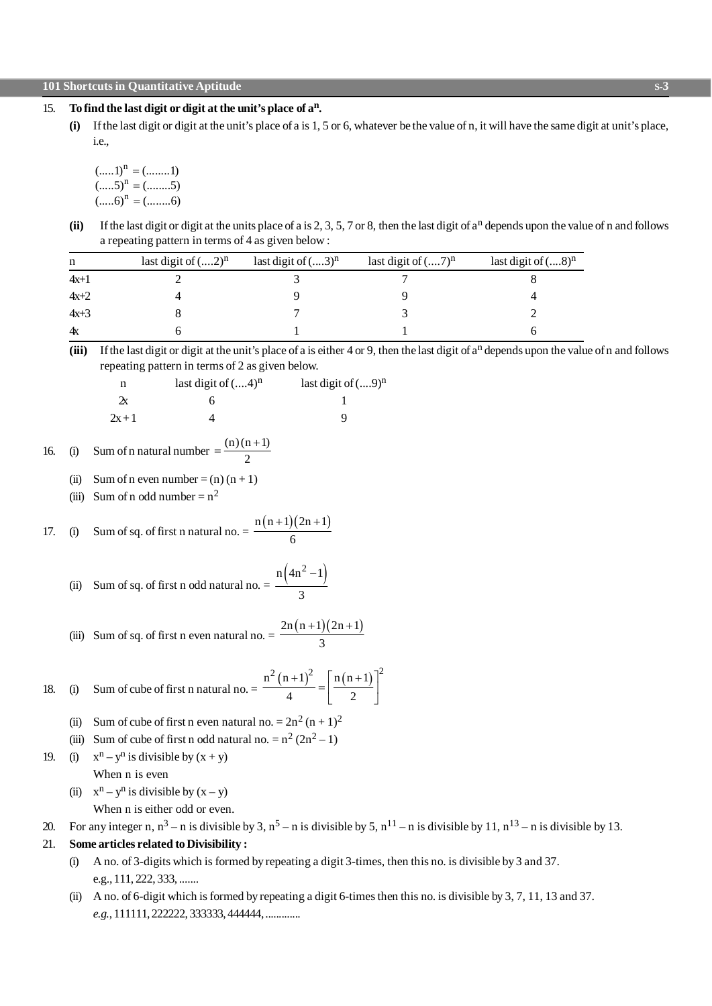#### **101 Shortcuts in Quantitative Aptitude S-3**

#### 15. **To find the last digit or digit at the unit's place of a<sup>n</sup> .**

**(i)** If the last digit or digit at the unit's place of a is 1, 5 or 6, whatever be the value of n, it will have the same digit at unit's place, i.e.,

```
(......1)^n = (...........1)n
(....5)^n = (........5)(.....6)^{n} = (......6)=
           =
```
 $(ii)$  If the last digit or digit at the units place of a is  $2, 3, 5, 7$  or 8, then the last digit of  $a<sup>n</sup>$  depends upon the value of n and follows a repeating pattern in terms of 4 as given below :

| n        | last digit of $(2)^n$ | last digit of $(3)^n$ | last digit of $(7)^n$ | last digit of $(8)^n$ |
|----------|-----------------------|-----------------------|-----------------------|-----------------------|
| $4x+1$   |                       |                       |                       |                       |
| $4x + 2$ |                       |                       |                       |                       |
| $4x+3$   |                       |                       |                       |                       |
| 4х       |                       |                       |                       |                       |

(iii) If the last digit or digit at the unit's place of a is either 4 or 9, then the last digit of a<sup>n</sup> depends upon the value of n and follows repeating pattern in terms of 2 as given below.

| n                  | last digit of $(4)^n$ | last digit of $(9)^n$ |
|--------------------|-----------------------|-----------------------|
| $\mathbf{\hat{x}}$ |                       |                       |
| $2x + 1$           |                       |                       |

16. (i) Sum of n natural number =  $\frac{(n)(n+1)}{2}$ 2  $=\frac{(n)(n+1)}{2}$ 

- (ii) Sum of n even number =  $(n)(n + 1)$
- (iii) Sum of n odd number =  $n^2$

17. (i) Sum of sq. of first n natural no. = 
$$
\frac{n(n+1)(2n+1)}{6}
$$

(ii) Sum of sq. of first n odd natural no. 
$$
= \frac{n(4n^2 - 1)}{3}
$$

(iii) Sum of sq. of first n even natural no. 
$$
= \frac{2n(n+1)(2n+1)}{3}
$$

18. (i) Sum of cube of first n natural no. = 
$$
\frac{n^2 (n+1)^2}{4} = \left[\frac{n(n+1)}{2}\right]^2
$$

- (ii) Sum of cube of first n even natural no.  $= 2n^2 (n + 1)^2$
- (iii) Sum of cube of first n odd natural no.  $= n^2 (2n^2 1)$
- 19. (i)  $x^n y^n$  is divisible by  $(x + y)$

When n is even

(ii)  $x^n - y^n$  is divisible by  $(x - y)$ 

When n is either odd or even.

20. For any integer n,  $n^3 - n$  is divisible by 3,  $n^5 - n$  is divisible by 5,  $n^{11} - n$  is divisible by 11,  $n^{13} - n$  is divisible by 13.

#### 21. **Some articles related to Divisibility :**

(i) A no. of 3-digits which is formed by repeating a digit 3-times, then this no. is divisible by 3 and 37. e.g., 111, 222, 333, .......

-

(ii) A no. of 6-digit which is formed by repeating a digit 6-times then this no. is divisible by 3, 7, 11, 13 and 37. *e.g.*, 111111, 222222, 333333, 444444, .............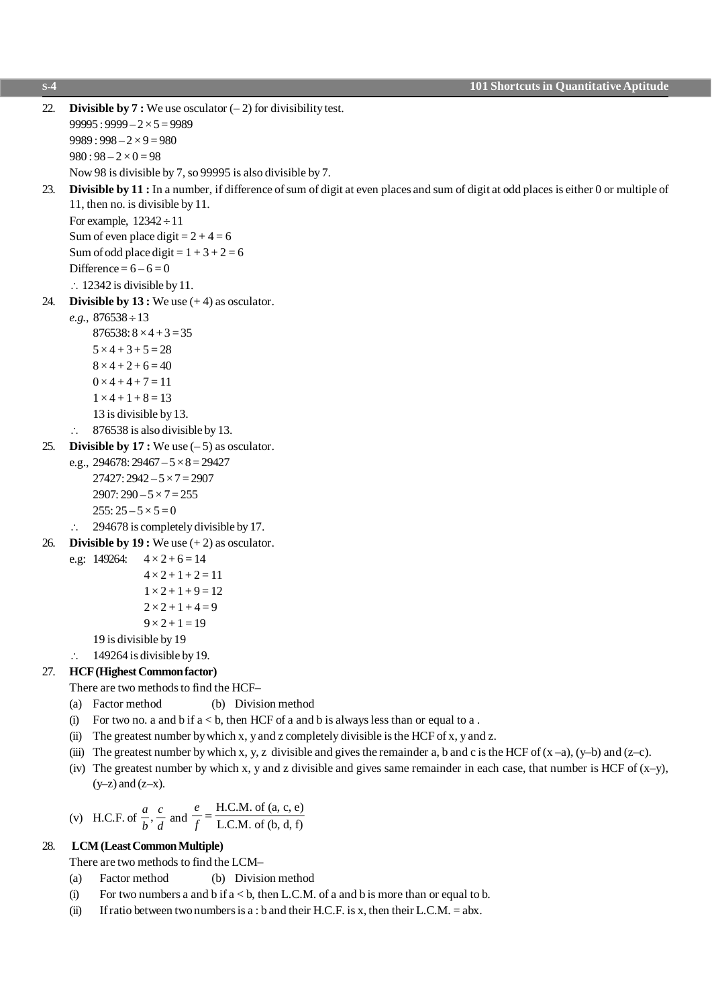**S-4 101 Shortcuts in Quantitative Aptitude** 22. **Divisible by 7 :** We use osculator (– 2) for divisibility test.  $99995: 9999 - 2 \times 5 = 9989$  $9989:998 - 2 \times 9 = 980$  $980:98 - 2 \times 0 = 98$ Now 98 is divisible by 7, so 99995 is also divisible by 7. 23. **Divisible by 11 :** In a number, if difference of sum of digit at even places and sum of digit at odd places is either 0 or multiple of 11, then no. is divisible by 11. For example,  $12342 \div 11$ Sum of even place digit  $= 2 + 4 = 6$ Sum of odd place digit =  $1 + 3 + 2 = 6$ Difference =  $6 - 6 = 0$  $\therefore$  12342 is divisible by 11. 24. **Divisible by 13 :** We use (+ 4) as osculator.  $e.g., 876538 \div 13$  $876538: 8 \times 4 + 3 = 35$  $5 \times 4 + 3 + 5 = 28$  $8 \times 4 + 2 + 6 = 40$  $0 \times 4 + 4 + 7 = 11$  $1 \times 4 + 1 + 8 = 13$ 13 is divisible by 13.  $\therefore$  876538 is also divisible by 13. 25. **Divisible by 17 :** We use (– 5) as osculator. e.g.,  $294678: 29467 - 5 \times 8 = 29427$  $27427: 2942 - 5 \times 7 = 2907$  $2907: 290 - 5 \times 7 = 255$  $255: 25 - 5 \times 5 = 0$  $\therefore$  294678 is completely divisible by 17. 26. **Divisible by 19 :** We use (+ 2) as osculator. e.g:  $149264$ :  $4 \times 2 + 6 = 14$  $4 \times 2 + 1 + 2 = 11$  $1 \times 2 + 1 + 9 = 12$  $2 \times 2 + 1 + 4 = 9$  $9 \times 2 + 1 = 19$ 19 is divisible by 19  $\therefore$  149264 is divisible by 19. 27. **HCF (Highest Common factor)** There are two methods to find the HCF– (a) Factor method (b) Division method (i) For two no. a and b if  $a < b$ , then HCF of a and b is always less than or equal to a. (ii) The greatest number by which x, y and z completely divisible is the HCF of x, y and z. (iii) The greatest number by which x, y, z divisible and gives the remainder a, b and c is the HCF of  $(x-a)$ ,  $(y-b)$  and  $(z-c)$ . (iv) The greatest number by which x, y and z divisible and gives same remainder in each case, that number is HCF of  $(x-y)$ ,  $(y-z)$  and  $(z-x)$ . *a c*  $HCM$  of  $(a, c, e)$ *e*

(v) H.C.F. of 
$$
\frac{a}{b}
$$
,  $\frac{c}{d}$  and  $\frac{e}{f} = \frac{H.C.M. \text{ of } (a, c, e)}{L.C.M. \text{ of } (b, d, f)}$ 

#### 28. **LCM (Least Common Multiple)**

There are two methods to find the LCM–

- (a) Factor method (b) Division method
- (i) For two numbers a and b if  $a < b$ , then L.C.M. of a and b is more than or equal to b.
- (ii) If ratio between two numbers is a : b and their H.C.F. is x, then their L.C.M. = abx.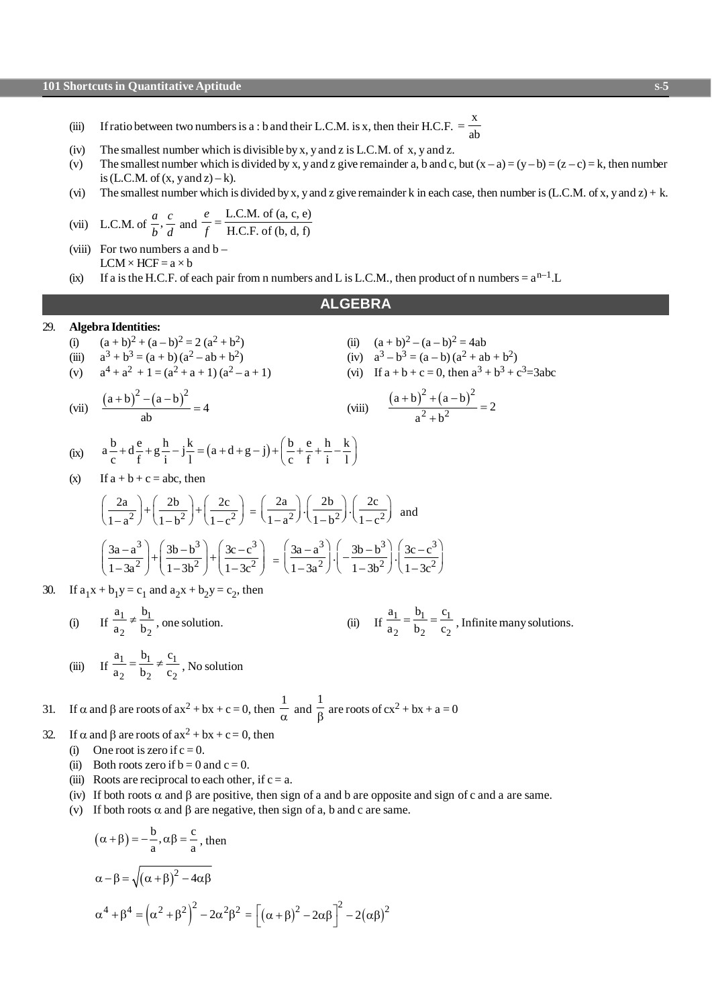- (iii) If ratio between two numbers is a : b and their L.C.M. is x, then their H.C.F. =  $\frac{x}{y}$  $=\frac{A}{ab}$
- (iv) The smallest number which is divisible by x, y and z is L.C.M. of x, y and z.
- (v) The smallest number which is divided by x, y and z give remainder a, b and c, but  $(x a) = (y b) = (z c) = k$ , then number is (L.C.M. of  $(x, y \text{ and } z) - k$ ).
- (vi) The smallest number which is divided by x, y and z give remainder k in each case, then number is (L.C.M. of x, y and z) + k.

(vii) L.C.M. of 
$$
\frac{a}{b}
$$
,  $\frac{c}{d}$  and  $\frac{e}{f} = \frac{\text{L.C.M. of (a, c, e)}}{\text{H.C.F. of (b, d, f)}}$ 

(viii) For two numbers a and  $b LCM \times HCF = a \times b$ (ix) If a is the H.C.F. of each pair from n numbers and L is L.C.M., then product of n numbers =  $a^{n-1}$ .L

# **ALGEBRA**

 $(viii)$ 

 $(a + b)^2 + (a - b)^2$  $2 + h^2$  $\frac{(a+b)^2+(a-b)^2}{2} = 2$  $a^2 + b$  $+\mathrm{b})^2+\mathrm{(a-b)}^2$ +

#### 29. **Algebra Identities:**

- (i)  $(a + b)^2 + (a b)^2 = 2(a^2 + b^2)$ (ii)  $(a+b)^2 - (a-b)^2 = 4ab$
- (iii)  $a^3 + b^3 = (a + b)(a^2 ab + b^2)$ (iv)  $a^3-b^3 = (a-b)(a^2 + ab + b^2)$

(v) 
$$
a^4 + a^2 + 1 = (a^2 + a + 1)(a^2 - a + 1)
$$
 (vi) If  $a + b + c = 0$ , then  $a^3 + b^3 + c^3 = 3abc$ 

(vii) 
$$
\frac{(a+b)^2-(a-b)^2}{ab} = 4
$$

(ix) 
$$
a\frac{b}{c} + d\frac{e}{f} + g\frac{h}{i} - j\frac{k}{l} = (a + d + g - j) + (\frac{b}{c} + \frac{e}{f} + \frac{h}{i} - \frac{k}{l})
$$

(x) If  $a + b + c = abc$ , then

$$
\left(\frac{2a}{1-a^2}\right) + \left(\frac{2b}{1-b^2}\right) + \left(\frac{2c}{1-c^2}\right) = \left(\frac{2a}{1-a^2}\right) \cdot \left(\frac{2b}{1-b^2}\right) \cdot \left(\frac{2c}{1-c^2}\right) \text{ and}
$$

$$
\left(\frac{3a-a^3}{1-3a^2}\right) + \left(\frac{3b-b^3}{1-3b^2}\right) + \left(\frac{3c-c^3}{1-3c^2}\right) = \left(\frac{3a-a^3}{1-3a^2}\right) \cdot \left(\frac{3b-b^3}{1-3b^2}\right) \cdot \left(\frac{3c-c^3}{1-3c^2}\right)
$$

30. If  $a_1x + b_1y = c_1$  and  $a_2x + b_2y = c_2$ , then

(i) If 
$$
\frac{a_1}{a_2} \neq \frac{b_1}{b_2}
$$
, one solution. (ii) If  $\frac{a_1}{a_2} = \frac{b_1}{b_2} = \frac{c_1}{c_2}$ , Infinite many solutions.

(iii) If 
$$
\frac{a_1}{a_2} = \frac{b_1}{b_2} \neq \frac{c_1}{c_2}
$$
, No solution

31. If 
$$
\alpha
$$
 and  $\beta$  are roots of  $ax^2 + bx + c = 0$ , then  $\frac{1}{\alpha}$  and  $\frac{1}{\beta}$  are roots of  $cx^2 + bx + a = 0$ 

- 32. If  $\alpha$  and  $\beta$  are roots of  $ax^2 + bx + c = 0$ , then
	- (i) One root is zero if  $c = 0$ .
	- (ii) Both roots zero if  $b = 0$  and  $c = 0$ .
	- (iii) Roots are reciprocal to each other, if  $c = a$ .
	- (iv) If both roots  $\alpha$  and  $\beta$  are positive, then sign of a and b are opposite and sign of c and a are same.
	- (v) If both roots  $\alpha$  and  $\beta$  are negative, then sign of a, b and c are same.

$$
(\alpha + \beta) = -\frac{b}{a}, \alpha\beta = \frac{c}{a}, \text{ then}
$$
  
\n
$$
\alpha - \beta = \sqrt{(\alpha + \beta)^2 - 4\alpha\beta}
$$
  
\n
$$
\alpha^4 + \beta^4 = (\alpha^2 + \beta^2)^2 - 2\alpha^2\beta^2 = [(\alpha + \beta)^2 - 2\alpha\beta]^2 - 2(\alpha\beta)^2
$$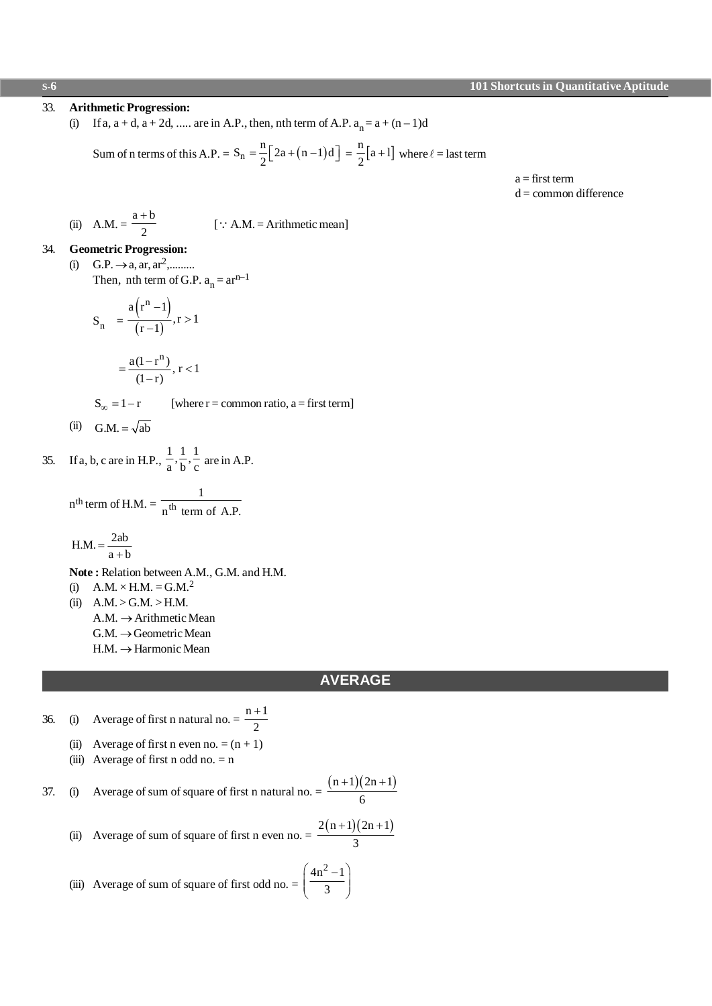#### **Arithmetic Progression:** 33.

(i) If a,  $a + d$ ,  $a + 2d$ , ..... are in A.P., then, nth term of A.P.  $a_n = a + (n-1)d$ 

Sum of n terms of this A.P. = 
$$
S_n = \frac{n}{2} [2a + (n-1)d] = \frac{n}{2} [a+1]
$$
 where  $\ell$  = last term

 $a = first term$  $d =$ common difference

(ii) A.M. = 
$$
\frac{a+b}{2}
$$
 [ $\because$  A.M. = Arithmetic mean]

#### **Geometric Progression:** 34.

(i) G.P.  $\rightarrow$  a, ar, ar<sup>2</sup>,.........

Then, nth term of G.P.  $a_n = ar^{n-1}$ 

$$
S_n = \frac{a(r^n - 1)}{(r - 1)}, r > 1
$$

 $\overline{a}$ 

$$
=\frac{a(1-r^{n})}{(1-r)}, r<1
$$

 $S_{\infty} = 1-r$ [where  $r =$  common ratio,  $a =$  first term]

$$
(ii) \quad G.M. = \sqrt{ab}
$$

If a, b, c are in H.P.,  $\frac{1}{a}$ ,  $\frac{1}{b}$ ,  $\frac{1}{c}$  are in A.P. 35.

$$
nth term of H.M. = \frac{1}{nth term of A.P.}
$$

$$
H.M. = \frac{2ab}{a+b}
$$

Note: Relation between A.M., G.M. and H.M.

(i)  $A.M. \times H.M. = G.M.<sup>2</sup>$ 

(ii)  $A.M. > G.M. > H.M.$  $A.M. \rightarrow$  Arithmetic Mean  $G.M. \rightarrow Geometric Mean$  $H.M. \rightarrow Harmonic Mean$ 

#### **AVERAGE**

- Average of first n natural no.  $=$   $\frac{n+1}{2}$ 36.  $(i)$ 
	- (ii) Average of first n even no. =  $(n + 1)$
	- (iii) Average of first n odd no.  $=$  n

37. (i) Average of sum of square of first n natural no. = 
$$
\frac{(n+1)(2n+1)}{6}
$$
  
(ii) Average of sum of square of first n even no. = 
$$
\frac{2(n+1)(2n+1)}{3}
$$

(iii) Average of sum of square of first odd no.  $= \left(\frac{4n^2 - 1}{3}\right)$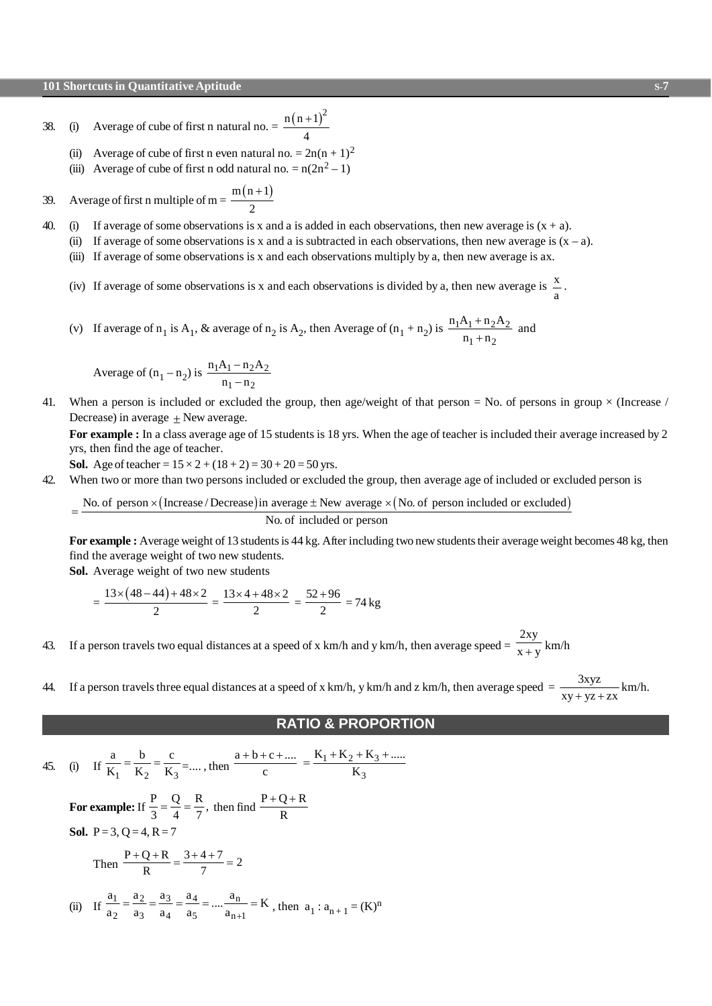38. (i) Average of cube of first n natural no.  $= \frac{n(n+1)^2}{n}$ 4 +

- (ii) Average of cube of first n even natural no. =  $2n(n + 1)^2$
- (iii) Average of cube of first n odd natural no.  $= n(2n^2 1)$
- 39. Average of first n multiple of m =  $\frac{m(n+1)}{2}$ 2 +
- 40. (i) If average of some observations is x and a is added in each observations, then new average is  $(x + a)$ .
	- (ii) If average of some observations is x and a is subtracted in each observations, then new average is  $(x a)$ .
		- (iii) If average of some observations is x and each observations multiply by a, then new average is ax.
		- (iv) If average of some observations is x and each observations is divided by a, then new average is  $\frac{x}{x}$ a .
		- (v) If average of  $n_1$  is  $A_1$ , & average of  $n_2$  is  $A_2$ , then Average of  $(n_1 + n_2)$  is  $\frac{n_1A_1 + n_2A_2}{n_1+n_2}$  $n_1 + n_2$  $n_1A_1 + n_2A$  $n_1 + n$ +  $\frac{+n_2+2}{+n_2}$  and

Average of  $(n_1 - n_2)$  is  $\frac{n_1A_1 - n_2A_2}{n_1 - n_2}$  $1 - n_2$  $n_1A_1 - n_2A$  $n_1 - n$ - -

41. When a person is included or excluded the group, then age/weight of that person = No. of persons in group  $\times$  (Increase / Decrease) in average  $\pm$  New average.

**For example :** In a class average age of 15 students is 18 yrs. When the age of teacher is included their average increased by 2 yrs, then find the age of teacher.

**Sol.** Age of teacher =  $15 \times 2 + (18 + 2) = 30 + 20 = 50$  yrs.

42. When two or more than two persons included or excluded the group, then average age of included or excluded person is

No. of person  $\times$  (Increase / Decrease) in average  $\pm$  New average  $\times$  (No. of person included or excluded) No. of included or person =

**For example :** Average weight of 13 students is 44 kg. After including two new students their average weight becomes 48 kg, then find the average weight of two new students.

**Sol.** Average weight of two new students

$$
= \frac{13 \times (48 - 44) + 48 \times 2}{2} = \frac{13 \times 4 + 48 \times 2}{2} = \frac{52 + 96}{2} = 74 \text{ kg}
$$

- 43. If a person travels two equal distances at a speed of x  $km/h$  and y  $km/h$ , then average speed = 2xy  $\frac{y}{x+y}$  km/h
- 44. If a person travels three equal distances at a speed of x km/h, y km/h and z km/h, then average speed  $=\frac{3xyz}{2}$  $\frac{y_1y_2}{xy + yz + zx}$  km/h.

#### **RATIO & PROPORTION**

45. (i) If 
$$
\frac{a}{K_1} = \frac{b}{K_2} = \frac{c}{K_3} = \dots
$$
, then  $\frac{a+b+c+\dots}{c} = \frac{K_1 + K_2 + K_3 + \dots}{K_3}$   
\nFor example: If  $\frac{P}{3} = \frac{Q}{4} = \frac{R}{7}$ , then find  $\frac{P+Q+R}{R}$   
\n**Sol.** P=3, Q=4, R=7  
\nThen  $\frac{P+Q+R}{R} = \frac{3+4+7}{7} = 2$ 

(ii) If 
$$
\frac{a_1}{a_2} = \frac{a_2}{a_3} = \frac{a_3}{a_4} = \frac{a_4}{a_5} = \dots = \frac{a_n}{a_{n+1}} = K
$$
, then  $a_1 : a_{n+1} = (K)^n$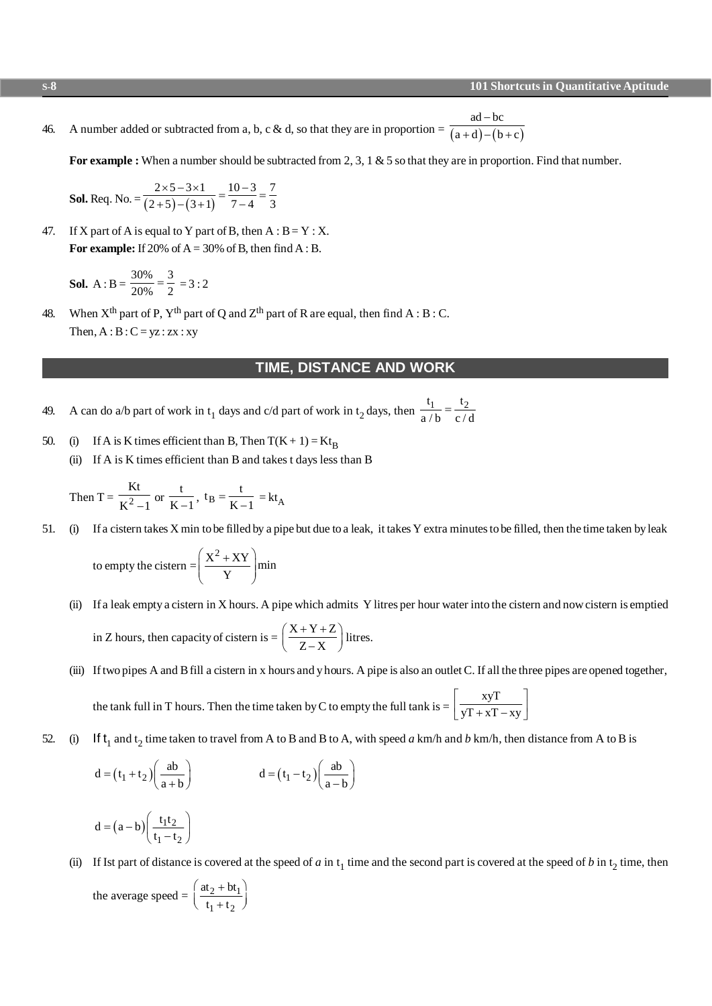46. A number added or subtracted from a, b, c & d, so that they are in proportion  $=\frac{a+d}{(a+d)-(b+c)}$  $ad - bc$  $a+d$ ) – (b+c -  $+d) - (b +$ 

For example : When a number should be subtracted from 2, 3, 1 & 5 so that they are in proportion. Find that number.

**Sol.** Req. No. = 
$$
\frac{2 \times 5 - 3 \times 1}{(2+5)-(3+1)} = \frac{10-3}{7-4} = \frac{7}{3}
$$

47. If X part of A is equal to Y part of B, then  $A : B = Y : X$ . For example: If 20% of  $A = 30%$  of B, then find  $A : B$ .

**Sol.** A : B = 
$$
\frac{30\%}{20\%}
$$
 =  $\frac{3}{2}$  = 3 : 2

48. When  $X^{th}$  part of P,  $Y^{th}$  part of Q and  $Z^{th}$  part of R are equal, then find A : B : C. Then,  $A : B : C = yz : zx : xy$ 

#### **TIME, DISTANCE AND WORK**

- 49. A can do a/b part of work in t<sub>1</sub> days and c/d part of work in t<sub>2</sub> days, then  $\frac{t_1}{a/b} = \frac{t_2}{c/d}$ =
- 50. (i) If A is K times efficient than B, Then  $T(K + 1) = Kt_B$ 
	- (ii) If A is K times efficient than B and takes t days less than B

Then T = 
$$
\frac{Kt}{K^2 - 1}
$$
 or  $\frac{t}{K - 1}$ , t<sub>B</sub> =  $\frac{t}{K - 1}$  = kt<sub>A</sub>

51. (i) If a cistern takes X min to be filled by a pipe but due to a leak, it takes Y extra minutes to be filled, then the time taken by leak

to empty the cistern = 
$$
\left(\frac{X^2 + XY}{Y}\right)
$$
min

- (ii) If a leak empty a cistern in X hours. A pipe which admits Y litres per hour water into the cistern and now cistern is emptied in Z hours, then capacity of cistern is  $= \left( \frac{X+Y+Z}{Z+Z+Z} \right)$  $\left(\frac{X+Y+Z}{Z-X}\right)$  litres.
- (iii) If two pipes A and B fill a cistern in x hours and y hours. A pipe is also an outlet C. If all the three pipes are opened together, the tank full in T hours. Then the time taken by C to empty the full tank is  $=$ xyT  $yT + xT - xy$  $\vert$  xyT  $\vert$  $\left[\frac{y}{yT + xT - xy}\right]$
- 52. (i) If  $t_1$  and  $t_2$  time taken to travel from A to B and B to A, with speed *a* km/h and *b* km/h, then distance from A to B is

$$
d = (t_1 + t_2) \left(\frac{ab}{a+b}\right) \qquad d = (t_1 - t_2) \left(\frac{ab}{a-b}\right)
$$
  

$$
d = (a-b) \left(\frac{t_1 t_2}{t_1 - t_2}\right)
$$

(ii) If Ist part of distance is covered at the speed of *a* in  $t_1$  time and the second part is covered at the speed of *b* in  $t_2$  time, then

the average speed = 
$$
\left(\frac{at_2 + bt_1}{t_1 + t_2}\right)
$$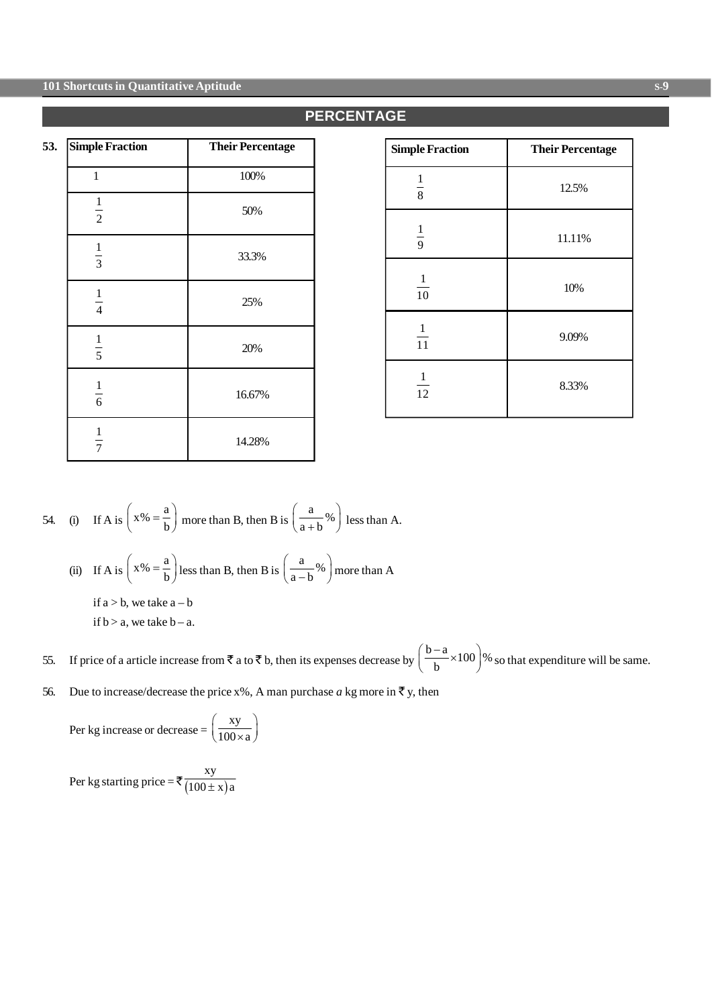#### **101 Shortcuts in Quantitative Aptitude S-9**

| 53.<br><b>Simple Fraction</b> | <b>Their Percentage</b> |
|-------------------------------|-------------------------|
| 1                             | 100%                    |
| $\frac{1}{2}$                 | 50%                     |
| $\frac{1}{3}$                 | 33.3%                   |
| $\frac{1}{4}$                 | 25%                     |
| $\frac{1}{5}$                 | 20%                     |
| $\frac{1}{6}$                 | 16.67%                  |
| $\frac{1}{7}$                 | 14.28%                  |

| <b>Simple Fraction</b> | <b>Their Percentage</b> |
|------------------------|-------------------------|
| $\frac{1}{8}$          | 12.5%                   |
| $\frac{1}{9}$          | 11.11%                  |
| $\frac{1}{10}$         | 10%                     |
| $\frac{1}{11}$         | 9.09%                   |
| 1<br>12                | 8.33%                   |

54. (i) If A is 
$$
\left(x\% = \frac{a}{b}\right)
$$
 more than B, then B is  $\left(\frac{a}{a+b}\% \right)$  less than A.

(ii) If A is  $\left(x\% = \frac{a}{b}\right)$  less than B, then B is  $\left(\frac{a}{a-b}\% \right)$  more than A

if  $a > b$ , we take  $a - b$ if  $b > a$ , we take  $b - a$ .

55. If price of a article increase from  $\bar{\tau}$  a to  $\bar{\tau}$  b, then its expenses decrease by  $\left(\frac{b-a}{b} \times 100\right)\%$  $\left(\frac{b-a}{b} \times 100\right)$ % so that expenditure will be same.

56. Due to increase/decrease the price x%, A man purchase *a* kg more in  $\bar{\tau}$  y, then

Per kg increase or decrease = 
$$
\left(\frac{xy}{100 \times a}\right)
$$

Per kg starting price =  $\sqrt{\frac{100 \pm x}{x}}$ xy  $100 \pm x$ ) a

## **PERCENTAGE**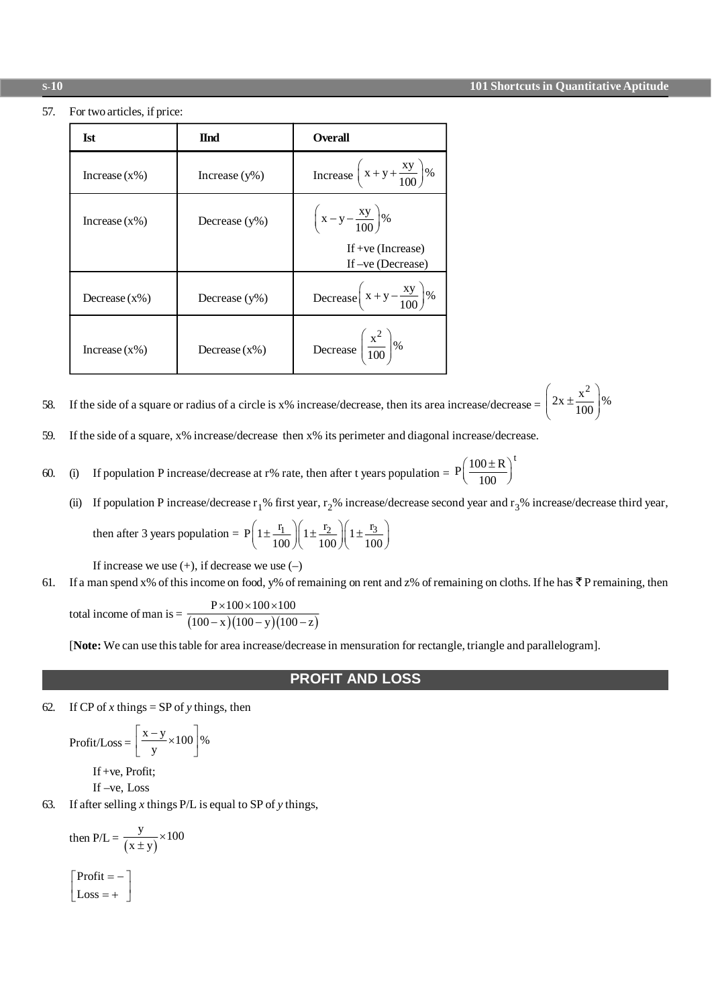57. For two articles, if price:

| Ist              | <b>H</b> nd      | <b>Overall</b>                               |
|------------------|------------------|----------------------------------------------|
| Increase $(x\%)$ | Increase $(y\%)$ | Increase $\left(x+y+\frac{xy}{100}\right)\%$ |
| Increase $(x\%)$ | Decrease $(y\%)$ | $\left(x-y-\frac{xy}{100}\right)\%$          |
|                  |                  | If $+ve$ (Increase)<br>If $-ve$ (Decrease)   |
| Decrease $(x\%)$ | Decrease $(y\%)$ | Decrease $\left(x+y-\frac{xy}{100}\right)\%$ |
| Increase $(x\%)$ | Decrease $(x\%)$ | Decrease $\left(\frac{x^2}{100}\right)\%$    |

If the side of a square or radius of a circle is x% increase/decrease, then its area increase/decrease =  $\left(2x \pm \frac{x^2}{100}\right)\%$ 58.

59. If the side of a square, x% increase/decrease then x% its perimeter and diagonal increase/decrease.

If population P increase/decrease at r% rate, then after t years population =  $P\left(\frac{100 \pm R}{100}\right)^t$ 60.  $(i)$ 

If population P increase/decrease  $r_1$ % first year,  $r_2$ % increase/decrease second year and  $r_3$ % increase/decrease third year,  $(ii)$ 

then after 3 years population = 
$$
P\left(1 \pm \frac{r_1}{100}\right)\left(1 \pm \frac{r_2}{100}\right)\left(1 \pm \frac{r_3}{100}\right)
$$

If increase we use  $(+)$ , if decrease we use  $(-)$ 

If a man spend x% of this income on food, y% of remaining on rent and z% of remaining on cloths. If he has  $\bar{\zeta}$  P remaining, then

total income of man is =  $\frac{P \times 100 \times 100 \times 100}{(100 - x)(100 - y)(100 - z)}$ 

[Note: We can use this table for area increase/decrease in mensuration for rectangle, triangle and parallelogram].

#### **PROFIT AND LOSS**

62. If CP of x things = SP of y things, then

$$
Profit / Loss = \left[\frac{x - y}{y} \times 100\right] \%
$$

If +ve, Profit; If  $-ve$ , Loss

If after selling  $x$  things  $P/L$  is equal to SP of  $y$  things, 63.

then  $P/L = \frac{y}{(x \pm y)} \times 100$  $\begin{bmatrix} \text{Profit} = - \\ \text{Loss} = + \end{bmatrix}$ 

#### $\overline{s}$ -10

61.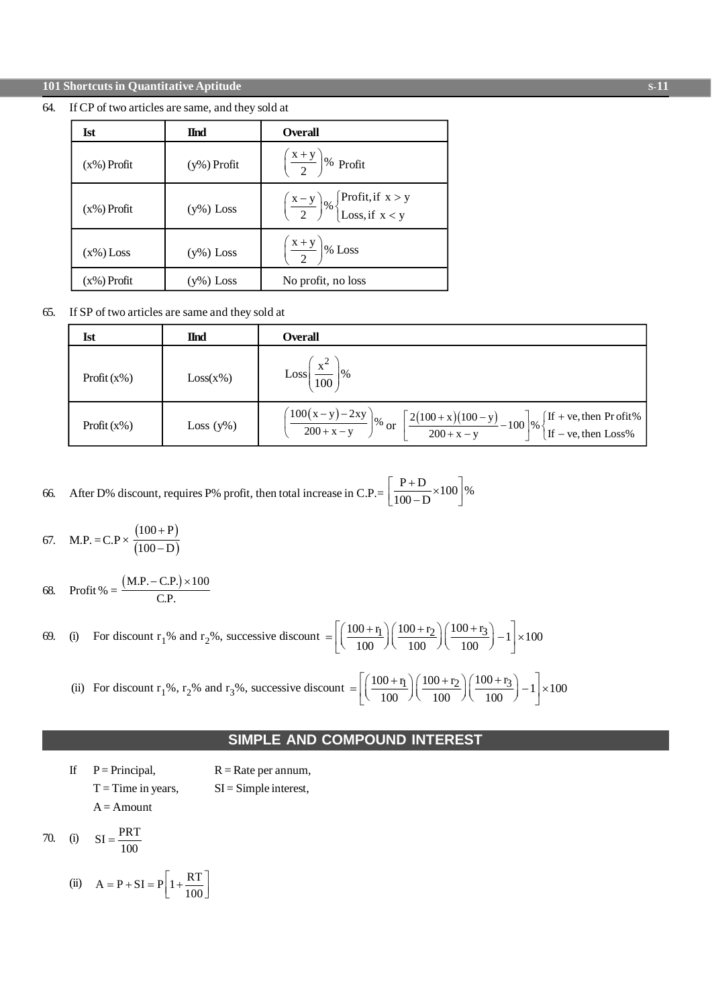#### **101 Shortcuts in Quantitative Aptitude**

#### 64. If CP of two articles are same, and they sold at

| <b>Ist</b>     | <b>H</b> nd    | <b>Overall</b>                                                                                                |
|----------------|----------------|---------------------------------------------------------------------------------------------------------------|
| $(x\%)$ Profit | $(y\%)$ Profit | $\left(\frac{x+y}{2}\right)\%$ Profit                                                                         |
| $(x\%)$ Profit | $(y\%)$ Loss   | $\left(\frac{x-y}{2}\right)$ % $\begin{cases} \text{Profit, if } x > y \\ \text{Loss, if } x < y \end{cases}$ |
| $(x\%)$ Loss   | $(y\%)$ Loss   | $\left(\frac{x+y}{2}\right)$ % Loss                                                                           |
| $(x\%)$ Profit | $(y\%)$ Loss   | No profit, no loss                                                                                            |

If SP of two articles are same and they sold at 65.

| Ist            | <b>I</b> nd  | <b>Overall</b>                                                                                                                                                                                                                                   |
|----------------|--------------|--------------------------------------------------------------------------------------------------------------------------------------------------------------------------------------------------------------------------------------------------|
| Profit $(x\%)$ | $Loss(x\%)$  | $\frac{x^2}{100}$<br>$\frac{1}{6}$<br>$\overline{100}$                                                                                                                                                                                           |
| Profit $(x\%)$ | Loss $(y\%)$ | $\left(\frac{100(x-y)-2xy}{200+x-y}\right)\%$ or<br>$\left[\frac{2(100+x)(100-y)}{200+x-y}-100\right]\%$<br>$\begin{cases} \text{If} + \text{ve}, \text{then} \text{ Profit\%} \\ \text{If} - \text{ve}, \text{then} \text{ Loss\%} \end{cases}$ |

After D% discount, requires P% profit, then total increase in C.P.=  $\left[\frac{P+D}{100-D} \times 100\right]\%$ 66.

67. M.P. = C.P × 
$$
\frac{(100+P)}{(100-D)}
$$

68. Profit % = 
$$
\frac{(M.P. - C.P.) \times 100}{C.P.}
$$

(i) For discount r<sub>1</sub>% and r<sub>2</sub>%, successive discount  $= \left[ \left( \frac{100 + r_1}{100} \right) \left( \frac{100 + r_2}{100} \right) \left( \frac{100 + r_3}{100} \right) - 1 \right] \times 100$ 69.

(ii) For discount r<sub>1</sub>%, r<sub>2</sub>% and r<sub>3</sub>%, successive discount  $= \left[ \left( \frac{100 + r_1}{100} \right) \left( \frac{100 + r_2}{100} \right) \left( \frac{100 + r_3}{100} \right) - 1 \right] \times 100$ 

## **SIMPLE AND COMPOUND INTEREST**

- $\mathbf{H}$  $P = Principal$ ,  $R = Rate$  per annum,  $T = Time$  in years,  $SI =$  Simple interest,  $A =$ Amount
- $SI = \frac{PRT}{100}$ 70.  $(i)$ 
	- (ii)  $A = P + SI = P \left[ 1 + \frac{RT}{100} \right]$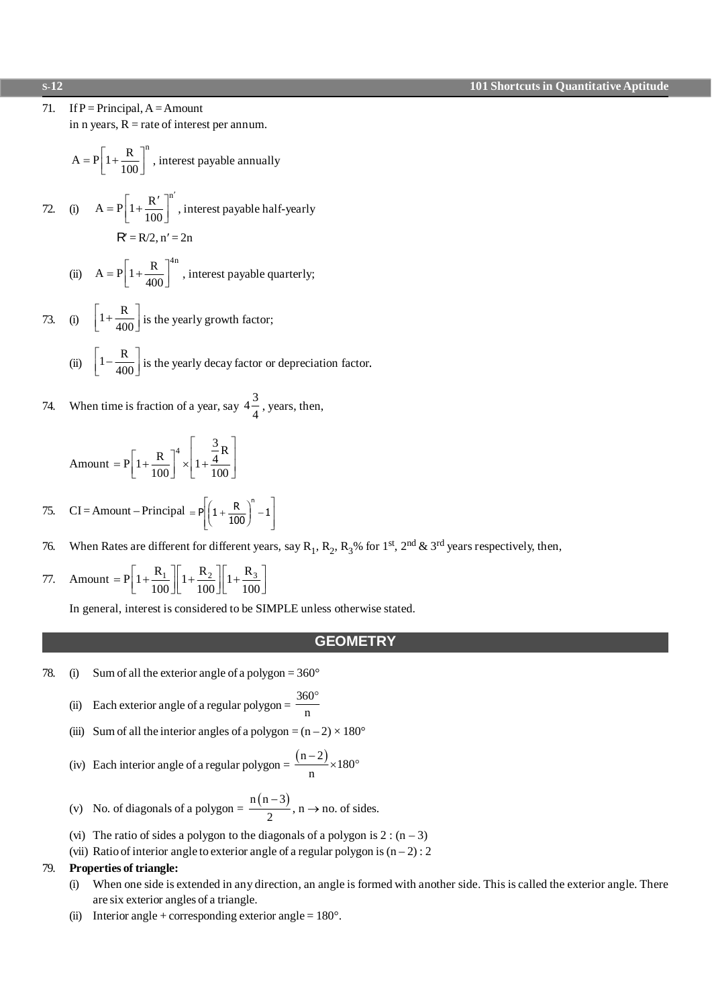**101 Shortcuts in Quantitative Aptitude** 

71. If  $P = Principal, A = Amount$ 

in n years,  $R =$  rate of interest per annum.

$$
A = P \left[ 1 + \frac{R}{100} \right]^n
$$
, interest payable annually

72. (i) 
$$
A = P\left[1 + \frac{R'}{100}\right]^n
$$
, interest payable half-yearly  
 $R' = R/2, n' = 2n$ 

(ii) 
$$
A = P \left[ 1 + \frac{R}{400} \right]^{4n}
$$
, interest payable quarterly;

- 73. (i)  $\left[1+\frac{R}{400}\right]$  is the yearly growth factor;
	- (ii)  $\left[1-\frac{R}{400}\right]$  is the yearly decay factor or depreciation factor.
- When time is fraction of a year, say  $4\frac{3}{4}$ , years, then, 74.

Amount = 
$$
P\left[1 + \frac{R}{100}\right]^4 \times \left[1 + \frac{\frac{3}{4}R}{100}\right]
$$

CI = Amount - Principal =  $P\left[\left(1 + \frac{R}{100}\right)^n - 1\right]$ 75.

- When Rates are different for different years, say R<sub>1</sub>, R<sub>2</sub>, R<sub>3</sub>% for 1<sup>st</sup>, 2<sup>nd</sup> & 3<sup>rd</sup> years respectively, then, 76.
- Amount =  $P\left[1 + \frac{R_1}{100}\right] \left[1 + \frac{R_2}{100}\right] \left[1 + \frac{R_3}{100}\right]$ 77.

In general, interest is considered to be SIMPLE unless otherwise stated.

#### **GEOMETRY**

78.  $(i)$ Sum of all the exterior angle of a polygon =  $360^{\circ}$ 

(ii) Each exterior angle of a regular polygon = 
$$
\frac{360^{\circ}}{n}
$$

- (iii) Sum of all the interior angles of a polygon =  $(n-2) \times 180^\circ$
- (iv) Each interior angle of a regular polygon =  $\frac{(n-2)}{n} \times 180^{\circ}$
- (v) No. of diagonals of a polygon =  $\frac{n(n-3)}{2}$ , n  $\rightarrow$  no. of sides.
- (vi) The ratio of sides a polygon to the diagonals of a polygon is  $2:(n-3)$
- (vii) Ratio of interior angle to exterior angle of a regular polygon is  $(n-2)$ : 2

#### Properties of triangle: 79.

- When one side is extended in any direction, an angle is formed with another side. This is called the exterior angle. There  $(i)$ are six exterior angles of a triangle.
- Interior angle + corresponding exterior angle =  $180^\circ$ .  $(ii)$

### $\overline{s}$ -12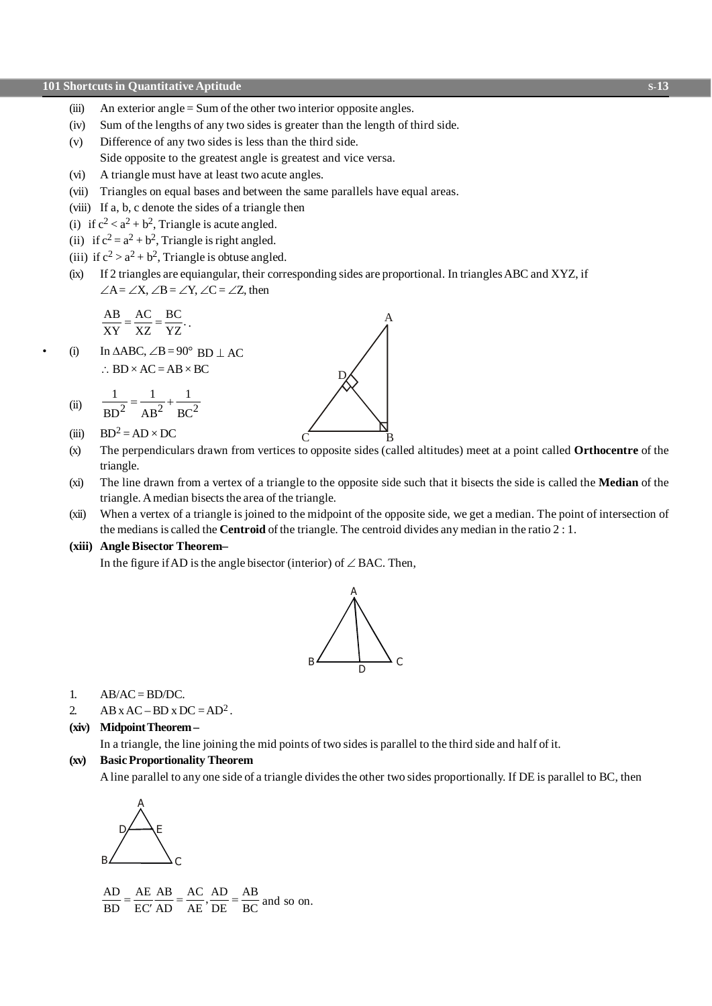- (iii) An exterior angle  $=$  Sum of the other two interior opposite angles.
- (iv) Sum of the lengths of any two sides is greater than the length of third side.
- (v) Difference of any two sides is less than the third side. Side opposite to the greatest angle is greatest and vice versa.
- (vi) A triangle must have at least two acute angles.
- (vii) Triangles on equal bases and between the same parallels have equal areas.
- (viii) If a, b, c denote the sides of a triangle then
- (i) if  $c^2 < a^2 + b^2$ , Triangle is acute angled.
- (ii) if  $c^2 = a^2 + b^2$ , Triangle is right angled.
- (iii) if  $c^2 > a^2 + b^2$ , Triangle is obtuse angled.
- (ix) If 2 triangles are equiangular, their corresponding sides are proportional. In triangles ABC and XYZ, if  $\angle A = \angle X$ ,  $\angle B = \angle Y$ ,  $\angle C = \angle Z$ , then

$$
\frac{AB}{XY} = \frac{AC}{XZ} = \frac{BC}{YZ}.
$$

(i) In  $\triangle ABC$ ,  $\angle B = 90^\circ$  BD | AC  $\therefore$  BD  $\times$  AC = AB  $\times$  BC

(ii) 
$$
\frac{1}{BD^2} = \frac{1}{AB^2} + \frac{1}{BC^2}
$$

(iii)  $BD^2 = AD \times DC$ 

(x) The perpendiculars drawn from vertices to opposite sides (called altitudes) meet at a point called **Orthocentre** of the triangle.

C B

D

A

- (xi) The line drawn from a vertex of a triangle to the opposite side such that it bisects the side is called the **Median** of the triangle. A median bisects the area of the triangle.
- (xii) When a vertex of a triangle is joined to the midpoint of the opposite side, we get a median. The point of intersection of the medians is called the **Centroid** of the triangle. The centroid divides any median in the ratio 2 : 1.

#### **(xiii) Angle Bisector Theorem–**

In the figure if AD is the angle bisector (interior) of  $\angle$  BAC. Then,



1.  $AB/AC = BD/DC$ .

2. AB x AC – BD x DC =  $AD^2$ .

#### **(xiv) Midpoint Theorem –**

In a triangle, the line joining the mid points of two sides is parallel to the third side and half of it.

#### **(xv) Basic Proportionality Theorem**

A line parallel to any one side of a triangle divides the other two sides proportionally. If DE is parallel to BC, then



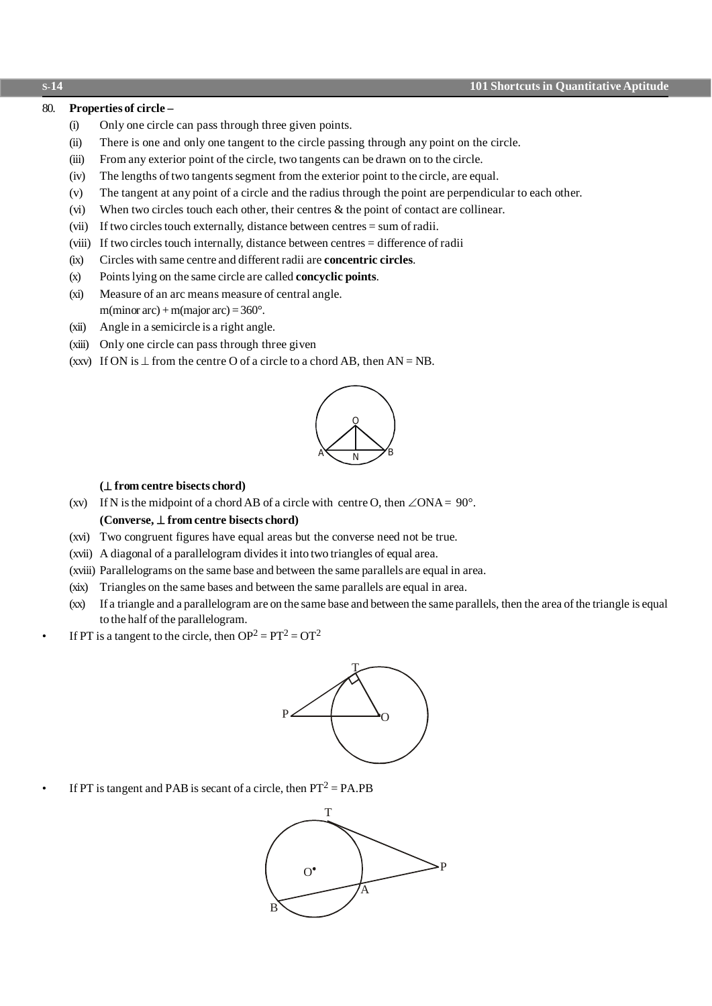#### 80. **Properties of circle –**

- (i) Only one circle can pass through three given points.
- (ii) There is one and only one tangent to the circle passing through any point on the circle.
- (iii) From any exterior point of the circle, two tangents can be drawn on to the circle.
- (iv) The lengths of two tangents segment from the exterior point to the circle, are equal.
- (v) The tangent at any point of a circle and the radius through the point are perpendicular to each other.
- (vi) When two circles touch each other, their centres & the point of contact are collinear.
- (vii) If two circles touch externally, distance between centres = sum of radii.
- (viii) If two circles touch internally, distance between centres = difference of radii
- (ix) Circles with same centre and different radii are **concentric circles**.
- (x) Points lying on the same circle are called **concyclic points**.
- (xi) Measure of an arc means measure of central angle. m(minor arc) + m(major arc) =  $360^\circ$ .
- (xii) Angle in a semicircle is a right angle.
- (xiii) Only one circle can pass through three given
- (xxv) If ON is  $\perp$  from the centre O of a circle to a chord AB, then AN = NB.



#### **(**^ **from centre bisects chord)**

(xv) If N is the midpoint of a chord AB of a circle with centre O, then  $\angle ONA = 90^\circ$ . **(Converse,** ^ **from centre bisects chord)**

- (xvi) Two congruent figures have equal areas but the converse need not be true.
- (xvii) A diagonal of a parallelogram divides it into two triangles of equal area.
- (xviii) Parallelograms on the same base and between the same parallels are equal in area.
- (xix) Triangles on the same bases and between the same parallels are equal in area.
- (xx) If a triangle and a parallelogram are on the same base and between the same parallels, then the area of the triangle is equal to the half of the parallelogram.
- If PT is a tangent to the circle, then  $OP^2 = PT^2 = OT^2$



• If PT is tangent and PAB is secant of a circle, then  $PT^2 = PA.PB$ 



**S-14 101 Shortcuts in Quantitative Aptitude**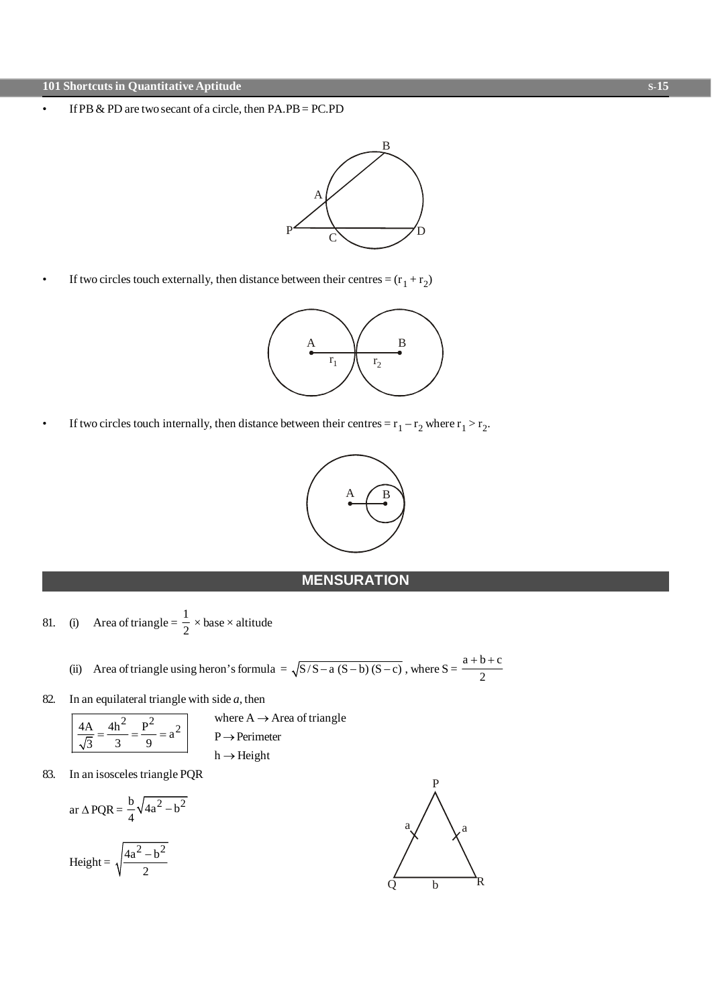• If PB & PD are two secant of a circle, then PA.PB = PC.PD



• If two circles touch externally, then distance between their centres =  $(r_1 + r_2)$ 



• If two circles touch internally, then distance between their centres =  $r_1 - r_2$  where  $r_1 > r_2$ .



# **MENSURATION**

- 81. (i) Area of triangle =  $\frac{1}{2}$  $\frac{1}{2} \times \text{base} \times \text{altitude}$ 
	- (ii) Area of triangle using heron's formula =  $\sqrt{S/S-a(S-b)(S-c)}$ , where  $S = \frac{a+b+c}{2}$ 2  $+ b + c$
- 82. In an equilateral triangle with side *a*, then

where A \to Area of triangle  
\n
$$
\frac{4A}{\sqrt{3}} = \frac{4h^2}{3} = \frac{P^2}{9} = a^2
$$
\nwhere A \to Area of triangle  
\nP \to Perimeter  
\nh \to Height

83. In an isosceles triangle PQR

$$
ar \Delta PQR = \frac{b}{4} \sqrt{4a^2 - b^2}
$$

Height = 
$$
\sqrt{\frac{4a^2 - b^2}{2}}
$$

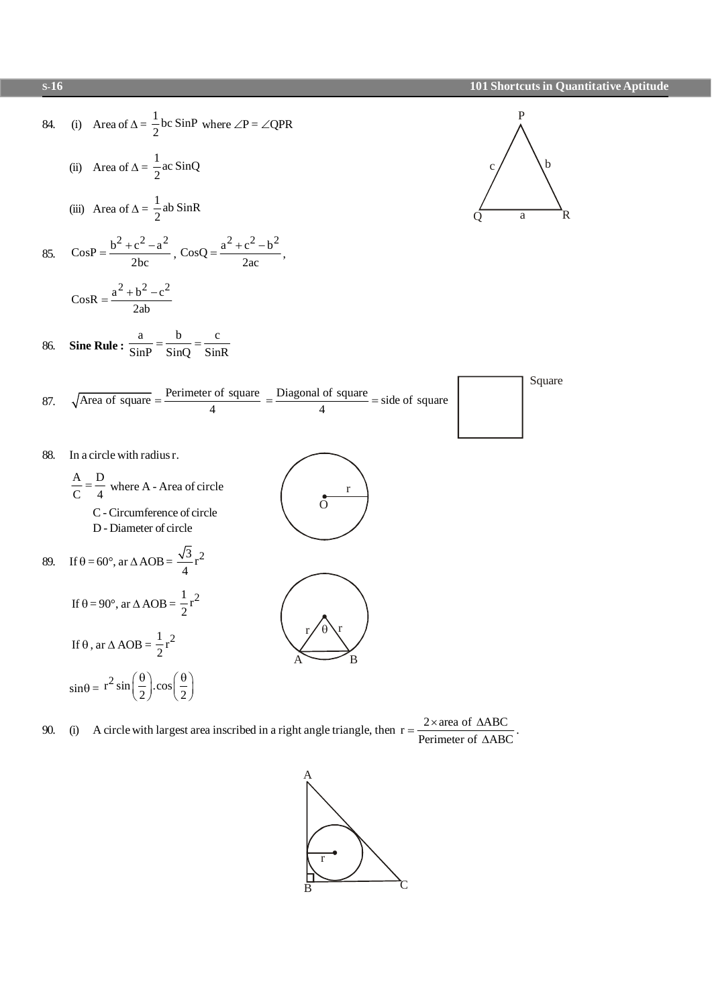

A circle with largest area inscribed in a right angle triangle, then  $r = \frac{2 \times \text{area of } \triangle ABC}{Perimeter of } \triangle ABC$ 90.  $(i)$ 

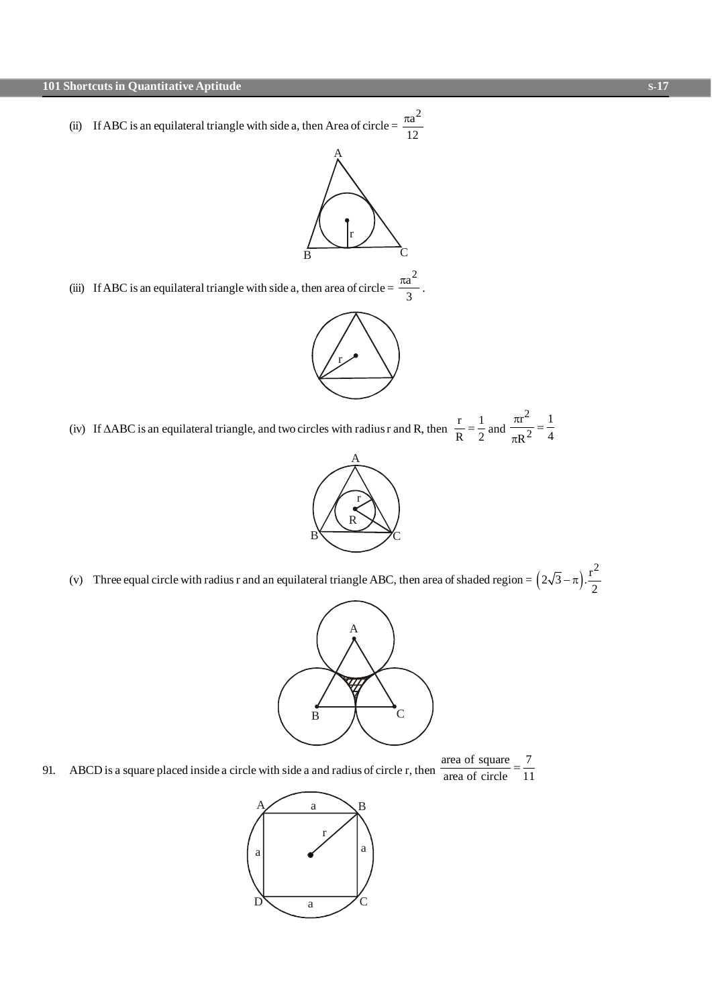(ii) If ABC is an equilateral triangle with side a, then Area of circle  $=$  $a^2$ 12  $\pi$ 



(iii) If ABC is an equilateral triangle with side a, then area of circle  $=$  $a^2$ 3  $rac{\pi a^2}{a}$ .



(iv) If  $\triangle$ ABC is an equilateral triangle, and two circles with radius r and R, then  $\frac{r}{R} = \frac{1}{2}$  $\frac{1}{R} = \frac{1}{2}$  and 2 2  $r^2$  1  $R^2$  4  $\frac{\pi r^2}{2}$  =  $\pi$ 



(v) Three equal circle with radius r and an equilateral triangle ABC, then area of shaded region =  $(2\sqrt{3}-\pi)$ .  $2\sqrt{3} - \pi$ ).  $\frac{r^2}{2}$  $-\pi)$ 



- area of square 7
- area of circle 11
- 91. ABCD is a square placed inside a circle with side a and radius of circle r, then =

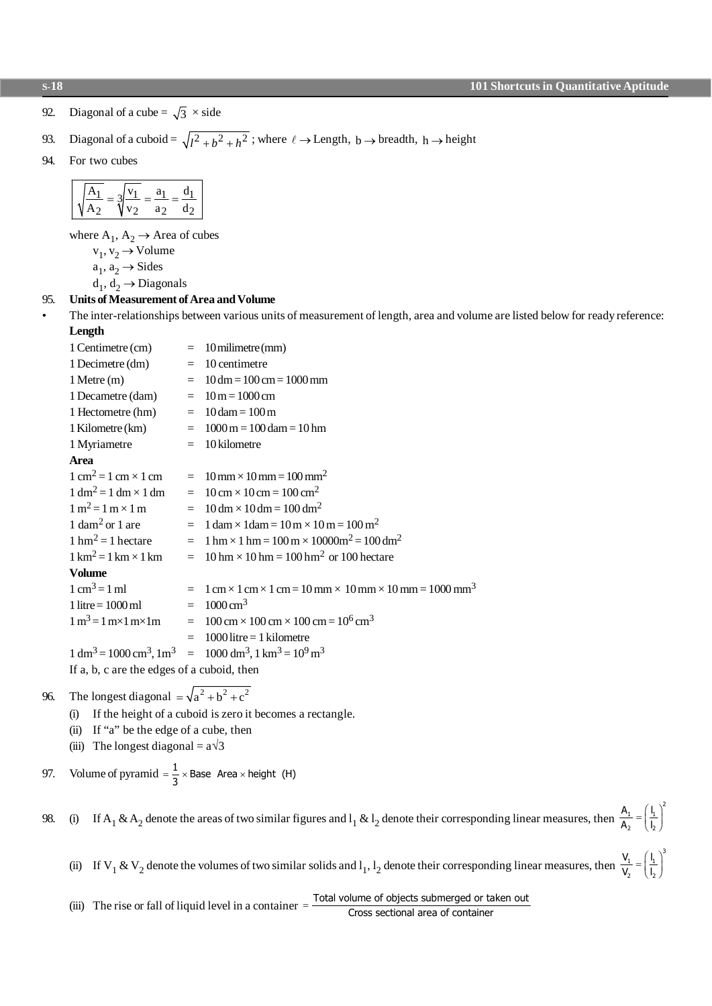2

3

2

2

92. Diagonal of a cube =  $\sqrt{3} \times$  side

93. Diagonal of a cuboid = 
$$
\sqrt{l^2 + b^2 + h^2}
$$
; where  $\ell \rightarrow$  Length, b  $\rightarrow$  breadth, h  $\rightarrow$  height

94. For two cubes

where  $A_1$ ,  $A_2 \rightarrow$  Area of cubes

 $v_1, v_2 \rightarrow$  Volume

 $a_1, a_2 \rightarrow$  Sides

 $d_1, d_2 \rightarrow$  Diagonals

#### 95. **Units of Measurement of Area and Volume**

• The inter-relationships between various units of measurement of length, area and volume are listed below for ready reference: **Length**

| 1 Centimetre (cm)                                    |  | $= 10$ milimetre (mm)                                                                                                                                  |  |
|------------------------------------------------------|--|--------------------------------------------------------------------------------------------------------------------------------------------------------|--|
| 1 Decimetre (dm)                                     |  | $=$ 10 centimetre                                                                                                                                      |  |
| $1$ Metre $(m)$                                      |  | $= 10$ dm = 100 cm = 1000 mm                                                                                                                           |  |
| 1 Decametre (dam) $= 10 \text{ m} = 1000 \text{ cm}$ |  |                                                                                                                                                        |  |
| 1 Hectometre (hm) $= 10$ dam $= 100$ m               |  |                                                                                                                                                        |  |
| 1 Kilometre (km)                                     |  | $= 1000 \text{ m} = 100 \text{ dam} = 10 \text{ hm}$                                                                                                   |  |
| 1 Myriametre                                         |  | $= 10$ kilometre                                                                                                                                       |  |
| Area                                                 |  |                                                                                                                                                        |  |
|                                                      |  | $1 \text{ cm}^2 = 1 \text{ cm} \times 1 \text{ cm} = 10 \text{ mm} \times 10 \text{ mm} = 100 \text{ mm}^2$                                            |  |
| $1 \text{ dm}^2 = 1 \text{ dm} \times 1 \text{ dm}$  |  | $= 10 \text{ cm} \times 10 \text{ cm} = 100 \text{ cm}^2$                                                                                              |  |
| $1 \text{ m}^2 = 1 \text{ m} \times 1 \text{ m}$     |  | $= 10 \text{ dm} \times 10 \text{ dm} = 100 \text{ dm}^2$                                                                                              |  |
| 1 dam <sup>2</sup> or 1 are                          |  | $= 1$ dam $\times$ 1 dam $= 10$ m $\times$ 10 m $= 100$ m <sup>2</sup>                                                                                 |  |
| $1 \text{ hm}^2 = 1 \text{ hectare}$                 |  | $= 1 \text{ hm} \times 1 \text{ hm} = 100 \text{ m} \times 10000 \text{ m}^2 = 100 \text{ dm}^2$                                                       |  |
| $1 \text{ km}^2 = 1 \text{ km} \times 1 \text{ km}$  |  | $= 10 \text{ hm} \times 10 \text{ hm} = 100 \text{ hm}^2$ or 100 hectare                                                                               |  |
| <b>Volume</b>                                        |  |                                                                                                                                                        |  |
| $1 \text{ cm}^3 = 1 \text{ ml}$                      |  | $= 1$ cm $\times$ 1 cm $\times$ 1 cm $= 10$ mm $\times$ 10 mm $\times$ 10 mm $= 1000$ mm <sup>3</sup>                                                  |  |
| $1$ litre = $1000$ ml                                |  | $= 1000 \text{ cm}^3$                                                                                                                                  |  |
|                                                      |  | $1 \text{ m}^3 = 1 \text{ m} \times 1 \text{ m} \times 1 \text{ m}$ = $100 \text{ cm} \times 100 \text{ cm} \times 100 \text{ cm} = 10^6 \text{ cm}^3$ |  |
|                                                      |  | $= 1000$ litre $= 1$ kilometre                                                                                                                         |  |
|                                                      |  | $1 \text{ dm}^3 = 1000 \text{ cm}^3$ , $1 \text{ m}^3 = 1000 \text{ dm}^3$ , $1 \text{ km}^3 = 10^9 \text{ m}^3$                                       |  |
| If a, b, c are the edges of a cuboid, then           |  |                                                                                                                                                        |  |

96. The longest diagonal  $=\sqrt{a^2 + b^2 + c^2}$ 

- (i) If the height of a cuboid is zero it becomes a rectangle.
- (ii) If "a" be the edge of a cube, then
- (iii) The longest diagonal =  $a\sqrt{3}$

97. Volume of pyramid  $=\frac{1}{2} \times$  Base Area  $\times$  $\frac{1}{3}$  × Base Area × height (H)

98. (i) If A<sub>1</sub> & A<sub>2</sub> denote the areas of two similar figures and  $l_1$  &  $l_2$  denote their corresponding linear measures, then  $\frac{A}{A}$ A l  $\frac{1}{2} = \frac{1}{2}$ 2 1 2 =  $\overline{f}$  $\overline{\mathcal{L}}$  $\left(\right)$ lari (d. 1919)<br>Digwyddiadau (d. 1919)<br>Digwyddiadau (d. 1919)<br>Digwyddiadau (d. 1919)  $\ddot{\phantom{0}}$ J

(ii) If V<sub>1</sub> & V<sub>2</sub> denote the volumes of two similar solids and l<sub>1</sub>, l<sub>2</sub> denote their corresponding linear measures, then  $\frac{V}{V}$ V l  $\frac{1}{5} = \frac{1}{1}$ 1 =  $\overline{f}$  $\overline{\mathcal{L}}$ G lari (d. 1919)<br>Digwyddiadau (d. 1919)<br>Digwyddiadau (d. 1919)  $\ddot{\phantom{0}}$  $\ddot{\phantom{0}}$ 

(iii) The rise or fall of liquid level in a container  $=\frac{\text{Total volume of objects submerged or taken out}}{\text{Cross sections length}}$ 

Cross sectional area of container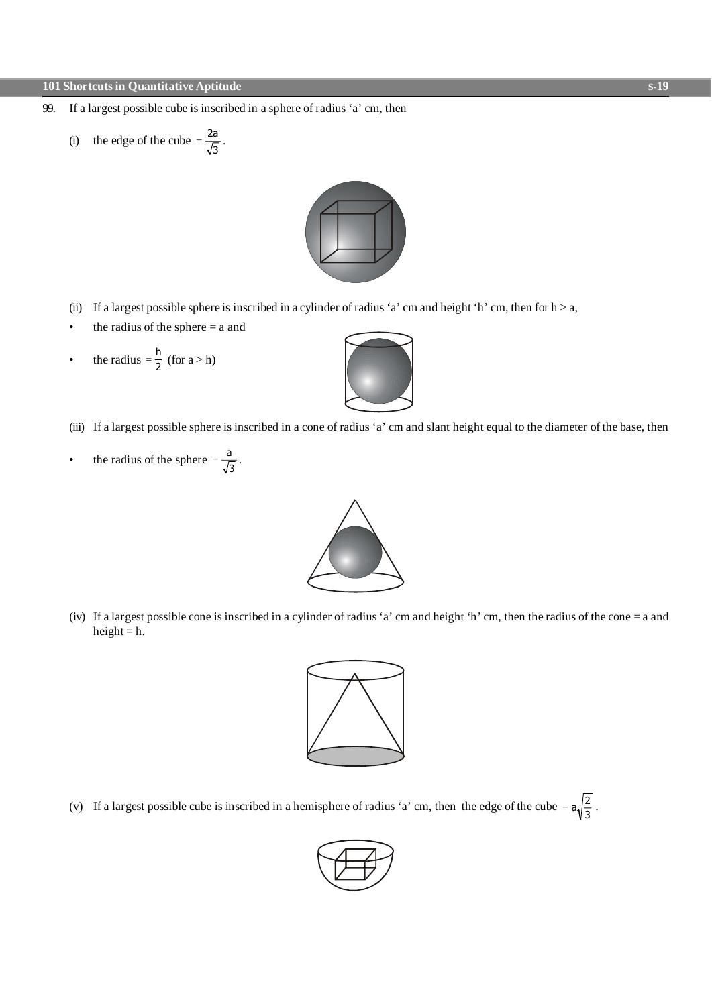- 99. If a largest possible cube is inscribed in a sphere of radius 'a' cm, then
	- (i) the edge of the cube =  $\frac{2}{4}$ 3  $\frac{a}{2}$ .



- (ii) If a largest possible sphere is inscribed in a cylinder of radius 'a' cm and height 'h' cm, then for  $h > a$ ,
- the radius of the sphere  $=$  a and
- the radius  $=$   $\frac{h}{2}$  $\frac{1}{2}$  (for a > h)



• the radius of the sphere  $=\frac{a}{b}$  $\frac{1}{3}$ .



(iv) If a largest possible cone is inscribed in a cylinder of radius 'a' cm and height 'h' cm, then the radius of the cone = a and height =  $h$ .



(v) If a largest possible cube is inscribed in a hemisphere of radius 'a' cm, then the edge of the cube =  $a_1/2$  $\frac{2}{3}$ .